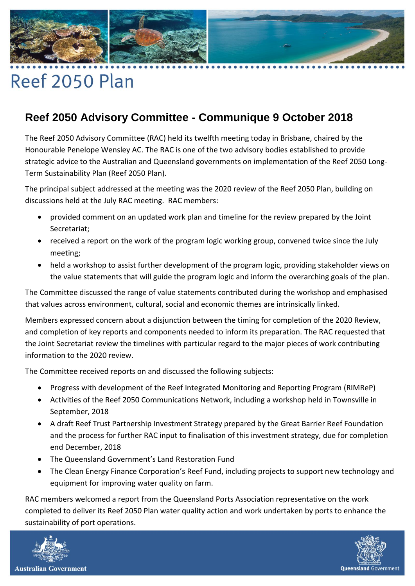

## Reef 2050 Plan

## **Reef 2050 Advisory Committee - Communique 9 October 2018**

The Reef 2050 Advisory Committee (RAC) held its twelfth meeting today in Brisbane, chaired by the Honourable Penelope Wensley AC. The RAC is one of the two advisory bodies established to provide strategic advice to the Australian and Queensland governments on implementation of the Reef 2050 Long-Term Sustainability Plan (Reef 2050 Plan).

The principal subject addressed at the meeting was the 2020 review of the Reef 2050 Plan, building on discussions held at the July RAC meeting. RAC members:

- provided comment on an updated work plan and timeline for the review prepared by the Joint Secretariat;
- received a report on the work of the program logic working group, convened twice since the July meeting;
- held a workshop to assist further development of the program logic, providing stakeholder views on the value statements that will guide the program logic and inform the overarching goals of the plan.

The Committee discussed the range of value statements contributed during the workshop and emphasised that values across environment, cultural, social and economic themes are intrinsically linked.

Members expressed concern about a disjunction between the timing for completion of the 2020 Review, and completion of key reports and components needed to inform its preparation. The RAC requested that the Joint Secretariat review the timelines with particular regard to the major pieces of work contributing information to the 2020 review.

The Committee received reports on and discussed the following subjects:

- Progress with development of the Reef Integrated Monitoring and Reporting Program (RIMReP)
- Activities of the Reef 2050 Communications Network, including a workshop held in Townsville in September, 2018
- A draft Reef Trust Partnership Investment Strategy prepared by the Great Barrier Reef Foundation and the process for further RAC input to finalisation of this investment strategy, due for completion end December, 2018
- The Queensland Government's Land Restoration Fund
- The Clean Energy Finance Corporation's Reef Fund, including projects to support new technology and equipment for improving water quality on farm.

RAC members welcomed a report from the Queensland Ports Association representative on the work completed to deliver its Reef 2050 Plan water quality action and work undertaken by ports to enhance the sustainability of port operations.